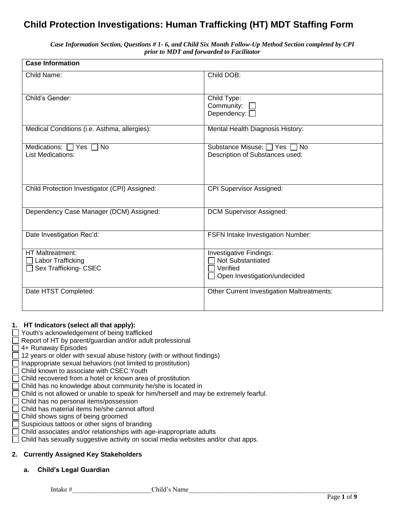# **Child Protection Investigations: Human Trafficking (HT) MDT Staffing Form**

*Case Information Section, Questions # 1- 6, and Child Six Month Follow-Up Method Section completed by CPI prior to MDT and forwarded to Facilitator*

| <b>Case Information</b>                                               |                                                                                                 |
|-----------------------------------------------------------------------|-------------------------------------------------------------------------------------------------|
| Child Name:                                                           | Child DOB:                                                                                      |
| Child's Gender:                                                       | Child Type:<br>Community:<br>Dependency: $\square$                                              |
| Medical Conditions (i.e. Asthma, allergies):                          | Mental Health Diagnosis History:                                                                |
| Medications: $\Box$ Yes $\Box$ No<br><b>List Medications:</b>         | Substance Misuse: □ Yes □ No<br>Description of Substances used:                                 |
| Child Protection Investigator (CPI) Assigned:                         | <b>CPI Supervisor Assigned:</b>                                                                 |
| Dependency Case Manager (DCM) Assigned:                               | <b>DCM Supervisor Assigned:</b>                                                                 |
| Date Investigation Rec'd:                                             | <b>FSFN Intake Investigation Number:</b>                                                        |
| <b>HT Maltreatment:</b><br>Labor Trafficking<br>Sex Trafficking- CSEC | <b>Investigative Findings:</b><br>Not Substantiated<br>Verified<br>Open Investigation/undecided |
| Date HTST Completed:                                                  | Other Current Investigation Maltreatments:                                                      |

#### **1. HT Indicators (select all that apply):**

- Youth's acknowledgement of being trafficked
- $\Box$  Report of HT by parent/guardian and/or adult professional
- 4+ Runaway Episodes
- $\Box$  12 years or older with sexual abuse history (with or without findings)
- Inappropriate sexual behaviors (not limited to prostitution)
- Child known to associate with CSEC Youth
- Child recovered from a hotel or known area of prostitution
- Child has no knowledge about community he/she is located in
- Child is not allowed or unable to speak for him/herself and may be extremely fearful.
- Child has no personal items/possession
- Child has material items he/she cannot afford
- Child shows signs of being groomed
- Suspicious tattoos or other signs of branding
- Child associates and/or relationships with age-inappropriate adults
- $\Box$  Child has sexually suggestive activity on social media websites and/or chat apps.

## **2. Currently Assigned Key Stakeholders**

### **a. Child's Legal Guardian**

Intake # Child's Name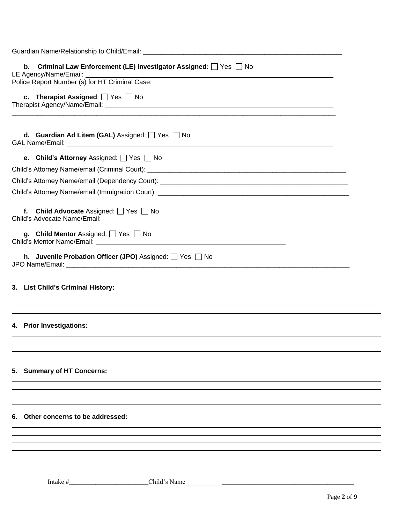| b. Criminal Law Enforcement (LE) Investigator Assigned: Ves No<br>LE Agency/Name/Email: |
|-----------------------------------------------------------------------------------------|
|                                                                                         |
| c. Therapist Assigned: $\Box$ Yes $\Box$ No                                             |
| <b>d.</b> Guardian Ad Litem (GAL) Assigned: $\Box$ Yes $\Box$ No                        |
| <b>e.</b> Child's Attorney Assigned: $\Box$ Yes $\Box$ No                               |
|                                                                                         |
|                                                                                         |
| Child's Attorney Name/email (Immigration Court): ________________________________       |
| f. Child Advocate Assigned: $\Box$ Yes $\Box$ No                                        |
| g. Child Mentor Assigned: $\Box$ Yes $\Box$ No                                          |
| h. Juvenile Probation Officer (JPO) Assigned: Ves No                                    |
| 3. List Child's Criminal History:                                                       |
| 4. Prior Investigations:                                                                |
| 5. Summary of HT Concerns:                                                              |
|                                                                                         |
| 6. Other concerns to be addressed:                                                      |
|                                                                                         |

Intake #\_\_\_\_\_\_\_\_\_\_\_\_\_\_\_\_\_\_\_\_\_\_\_\_Child's Name\_\_\_\_\_\_\_\_\_\_\_\_\_\_\_\_\_\_\_\_\_\_\_\_\_\_\_\_\_\_\_\_\_\_\_\_\_\_\_\_\_\_\_\_\_\_\_\_\_\_\_

 $\overline{a}$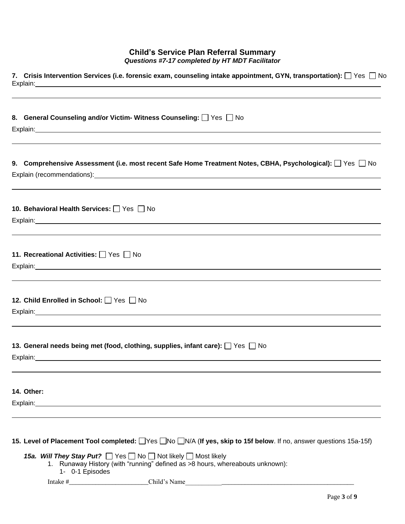#### **Child's Service Plan Referral Summary** *Questions #7-17 completed by HT MDT Facilitator*

| Explain:   |                                        |                                                                                                                                                                            | 7. Crisis Intervention Services (i.e. forensic exam, counseling intake appointment, GYN, transportation): $\Box$ Yes $\Box$ No<br><u> 1989 - Jan Samuel Barbara, margaret a shekara 1989 - Andrea Samuel Barbara, marka 1989 - Andrea Samuel Barbar</u> |  |
|------------|----------------------------------------|----------------------------------------------------------------------------------------------------------------------------------------------------------------------------|---------------------------------------------------------------------------------------------------------------------------------------------------------------------------------------------------------------------------------------------------------|--|
|            |                                        | 8. General Counseling and/or Victim- Witness Counseling: Ves No                                                                                                            |                                                                                                                                                                                                                                                         |  |
|            |                                        |                                                                                                                                                                            |                                                                                                                                                                                                                                                         |  |
|            |                                        |                                                                                                                                                                            | 9. Comprehensive Assessment (i.e. most recent Safe Home Treatment Notes, CBHA, Psychological): $\Box$ Yes $\Box$ No<br>Explain (recommendations): explorer and the explorer of the explaint (recommendations):                                          |  |
|            | 10. Behavioral Health Services: Yes No |                                                                                                                                                                            |                                                                                                                                                                                                                                                         |  |
|            | 11. Recreational Activities: Yes No    |                                                                                                                                                                            |                                                                                                                                                                                                                                                         |  |
|            | 12. Child Enrolled in School: Yes No   |                                                                                                                                                                            |                                                                                                                                                                                                                                                         |  |
|            |                                        | 13. General needs being met (food, clothing, supplies, infant care): $\Box$ Yes $\Box$ No<br>Explain: explain:                                                             |                                                                                                                                                                                                                                                         |  |
| 14. Other: |                                        |                                                                                                                                                                            |                                                                                                                                                                                                                                                         |  |
|            | 1- 0-1 Episodes                        | <b>15a. Will They Stay Put?</b> $\Box$ Yes $\Box$ No $\Box$ Not likely $\Box$ Most likely<br>1. Runaway History (with "running" defined as >8 hours, whereabouts unknown): | 15. Level of Placement Tool completed: Wes Who WA (If yes, skip to 15f below. If no, answer questions 15a-15f)                                                                                                                                          |  |
|            |                                        |                                                                                                                                                                            |                                                                                                                                                                                                                                                         |  |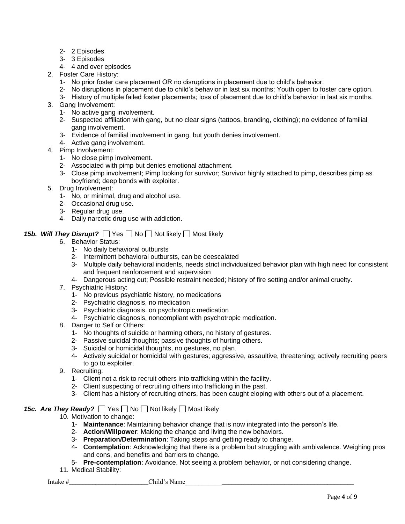- 2- 2 Episodes
- 3- 3 Episodes
- 4- 4 and over episodes
- 2. Foster Care History:
	- 1- No prior foster care placement OR no disruptions in placement due to child's behavior.
	- 2- No disruptions in placement due to child's behavior in last six months; Youth open to foster care option.
	- 3- History of multiple failed foster placements; loss of placement due to child's behavior in last six months.
- 3. Gang Involvement:
	- 1- No active gang involvement.
	- 2- Suspected affiliation with gang, but no clear signs (tattoos, branding, clothing); no evidence of familial gang involvement.
	- 3- Evidence of familial involvement in gang, but youth denies involvement.
	- 4- Active gang involvement.
- 4. Pimp Involvement:
	- 1- No close pimp involvement.
	- 2- Associated with pimp but denies emotional attachment.
	- 3- Close pimp involvement; Pimp looking for survivor; Survivor highly attached to pimp, describes pimp as boyfriend; deep bonds with exploiter.
- 5. Drug Involvement:
	- 1- No, or minimal, drug and alcohol use.
	- 2- Occasional drug use.
	- 3- Regular drug use.
	- 4- Daily narcotic drug use with addiction.

### **15b. Will They Disrupt?**  $\Box$  Yes  $\Box$  No  $\Box$  Not likely  $\Box$  Most likely

- 6. Behavior Status:
	- 1- No daily behavioral outbursts
	- 2- Intermittent behavioral outbursts, can be deescalated
	- 3- Multiple daily behavioral incidents, needs strict individualized behavior plan with high need for consistent and frequent reinforcement and supervision
	- 4- Dangerous acting out; Possible restraint needed; history of fire setting and/or animal cruelty.
- 7. Psychiatric History:
	- 1- No previous psychiatric history, no medications
	- 2- Psychiatric diagnosis, no medication
	- 3- Psychiatric diagnosis, on psychotropic medication
	- 4- Psychiatric diagnosis, noncompliant with psychotropic medication.
- 8. Danger to Self or Others:
	- 1- No thoughts of suicide or harming others, no history of gestures.
	- 2- Passive suicidal thoughts; passive thoughts of hurting others.
	- 3- Suicidal or homicidal thoughts, no gestures, no plan.
	- 4- Actively suicidal or homicidal with gestures; aggressive, assaultive, threatening; actively recruiting peers to go to exploiter.
- 9. Recruiting:
	- 1- Client not a risk to recruit others into trafficking within the facility.
	- 2- Client suspecting of recruiting others into trafficking in the past.
	- 3- Client has a history of recruiting others, has been caught eloping with others out of a placement.

#### **15c. Are They Ready?**  $\Box$  Yes  $\Box$  No  $\Box$  Not likely  $\Box$  Most likely

- 10. Motivation to change:
	- 1- **Maintenance**: Maintaining behavior change that is now integrated into the person's life.
	- 2- **Action/Willpower**: Making the change and living the new behaviors.
	- 3- **Preparation/Determination**: Taking steps and getting ready to change.
	- 4- **Contemplation**: Acknowledging that there is a problem but struggling with ambivalence. Weighing pros and cons, and benefits and barriers to change.
	- 5- **Pre-contemplation**: Avoidance. Not seeing a problem behavior, or not considering change.
- 11. Medical Stability: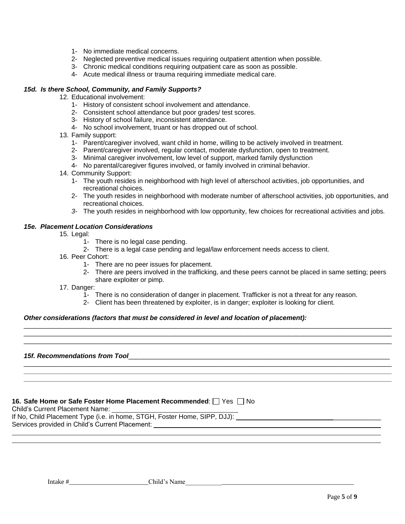- 1- No immediate medical concerns.
- 2- Neglected preventive medical issues requiring outpatient attention when possible.
- 3- Chronic medical conditions requiring outpatient care as soon as possible.
- 4- Acute medical illness or trauma requiring immediate medical care.

#### *15d. Is there School, Community, and Family Supports?*

12. Educational involvement:

- 1- History of consistent school involvement and attendance.
- 2- Consistent school attendance but poor grades/ test scores.
- 3- History of school failure, inconsistent attendance.
- 4- No school involvement, truant or has dropped out of school.
- 13. Family support:
	- 1- Parent/caregiver involved, want child in home, willing to be actively involved in treatment.
	- 2- Parent/caregiver involved, regular contact, moderate dysfunction, open to treatment.
	- 3- Minimal caregiver involvement, low level of support, marked family dysfunction
	- 4- No parental/caregiver figures involved, or family involved in criminal behavior.
- 14. Community Support:
	- 1- The youth resides in neighborhood with high level of afterschool activities, job opportunities, and recreational choices.
	- 2- The youth resides in neighborhood with moderate number of afterschool activities, job opportunities, and recreational choices.
	- *3-* The youth resides in neighborhood with low opportunity, few choices for recreational activities and jobs*.*

#### *15e. Placement Location Considerations*

- 15. Legal:
	- 1- There is no legal case pending.
	- 2- There is a legal case pending and legal/law enforcement needs access to client.
- 16. Peer Cohort:
	- 1- There are no peer issues for placement.
	- 2- There are peers involved in the trafficking, and these peers cannot be placed in same setting; peers share exploiter or pimp.

17. Danger:

- 1- There is no consideration of danger in placement. Trafficker is not a threat for any reason.
- 2- Client has been threatened by exploiter, is in danger; exploiter is looking for client.

\_\_\_\_\_\_\_\_\_\_\_\_\_\_\_\_\_\_\_\_\_\_\_\_\_\_\_\_\_\_\_\_\_\_\_\_\_\_\_\_\_\_\_\_\_\_\_\_\_\_\_\_\_\_\_\_\_\_\_\_\_\_\_\_\_\_\_\_\_\_\_\_\_\_\_\_\_\_\_\_\_\_\_\_\_\_\_\_\_\_\_\_\_\_\_\_\_\_\_\_ \_\_\_\_\_\_\_\_\_\_\_\_\_\_\_\_\_\_\_\_\_\_\_\_\_\_\_\_\_\_\_\_\_\_\_\_\_\_\_\_\_\_\_\_\_\_\_\_\_\_\_\_\_\_\_\_\_\_\_\_\_\_\_\_\_\_\_\_\_\_\_\_\_\_\_\_\_\_\_\_\_\_\_\_\_\_\_\_\_\_\_\_\_\_\_\_\_\_\_\_ \_\_\_\_\_\_\_\_\_\_\_\_\_\_\_\_\_\_\_\_\_\_\_\_\_\_\_\_\_\_\_\_\_\_\_\_\_\_\_\_\_\_\_\_\_\_\_\_\_\_\_\_\_\_\_\_\_\_\_\_\_\_\_\_\_\_\_\_\_\_\_\_\_\_\_\_\_\_\_\_\_\_\_\_\_\_\_\_\_\_\_\_\_\_\_\_\_\_\_\_

\_\_\_\_\_\_\_\_\_\_\_\_\_\_\_\_\_\_\_\_\_\_\_\_\_\_\_\_\_\_\_\_\_\_\_\_\_\_\_\_\_\_\_\_\_\_\_\_\_\_\_\_\_\_\_\_\_\_\_\_\_\_\_\_\_\_\_\_\_\_\_\_\_\_\_\_\_\_\_\_\_\_\_\_\_\_\_\_\_\_\_\_\_\_\_\_\_\_\_\_ **\_\_\_\_\_\_\_\_\_\_\_\_\_\_\_\_\_\_\_\_\_\_\_\_\_\_\_\_\_\_\_\_\_\_\_\_\_\_\_\_\_\_\_\_\_\_\_\_\_\_\_\_\_\_\_\_\_\_\_\_\_\_\_\_\_\_\_\_\_\_\_\_\_\_\_\_\_\_\_\_\_\_\_\_\_\_\_\_\_\_\_\_\_\_\_\_\_\_\_\_ \_\_\_\_\_\_\_\_\_\_\_\_\_\_\_\_\_\_\_\_\_\_\_\_\_\_\_\_\_\_\_\_\_\_\_\_\_\_\_\_\_\_\_\_\_\_\_\_\_\_\_\_\_\_\_\_\_\_\_\_\_\_\_\_\_\_\_\_\_\_\_\_\_\_\_\_\_\_\_\_\_\_\_\_\_\_\_\_\_\_\_\_\_\_\_\_\_\_\_\_**

#### *Other considerations (factors that must be considered in level and location of placement):*

#### *15f. Recommendations from Tool*\_\_\_\_\_\_\_\_\_\_\_\_\_\_\_\_\_\_\_\_\_\_\_\_\_\_\_\_\_\_\_\_\_\_\_\_\_\_\_\_\_\_\_\_\_\_\_\_\_\_\_\_\_\_\_\_\_\_\_\_\_\_\_\_\_\_\_\_\_\_\_

#### **16. Safe Home or Safe Foster Home Placement Recommended:**  $\Box$  Yes  $\Box$  No

Child's Current Placement Name:

If No, Child Placement Type (i.e. in home, STGH, Foster Home, SIPP, DJJ): Services provided in Child's Current Placement: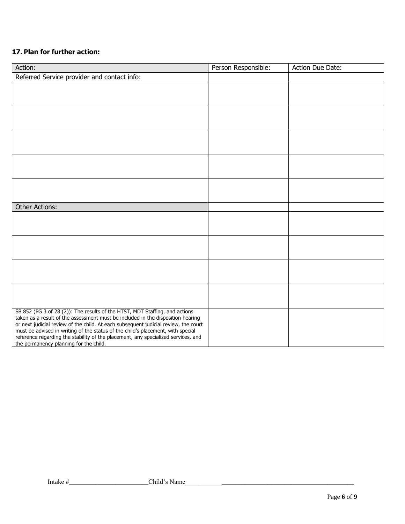## **17. Plan for further action:**

| Action:                                                                                                                                                                | Person Responsible: | Action Due Date: |
|------------------------------------------------------------------------------------------------------------------------------------------------------------------------|---------------------|------------------|
| Referred Service provider and contact info:                                                                                                                            |                     |                  |
|                                                                                                                                                                        |                     |                  |
|                                                                                                                                                                        |                     |                  |
|                                                                                                                                                                        |                     |                  |
|                                                                                                                                                                        |                     |                  |
|                                                                                                                                                                        |                     |                  |
|                                                                                                                                                                        |                     |                  |
|                                                                                                                                                                        |                     |                  |
|                                                                                                                                                                        |                     |                  |
|                                                                                                                                                                        |                     |                  |
|                                                                                                                                                                        |                     |                  |
|                                                                                                                                                                        |                     |                  |
| <b>Other Actions:</b>                                                                                                                                                  |                     |                  |
|                                                                                                                                                                        |                     |                  |
|                                                                                                                                                                        |                     |                  |
|                                                                                                                                                                        |                     |                  |
|                                                                                                                                                                        |                     |                  |
|                                                                                                                                                                        |                     |                  |
|                                                                                                                                                                        |                     |                  |
|                                                                                                                                                                        |                     |                  |
|                                                                                                                                                                        |                     |                  |
| SB 852 (PG 3 of 28 (2)): The results of the HTST, MDT Staffing, and actions                                                                                            |                     |                  |
| taken as a result of the assessment must be included in the disposition hearing<br>or next judicial review of the child. At each subsequent judicial review, the court |                     |                  |
| must be advised in writing of the status of the child's placement, with special                                                                                        |                     |                  |
| reference regarding the stability of the placement, any specialized services, and<br>the permanency planning for the child.                                            |                     |                  |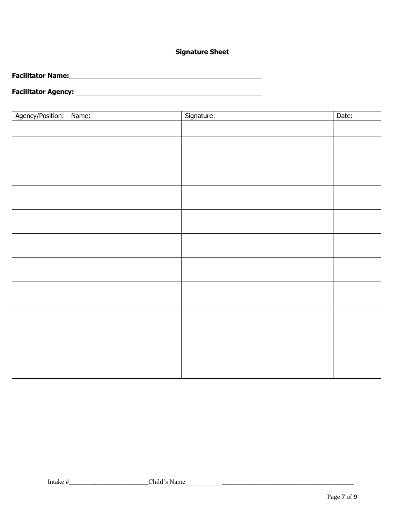## **Signature Sheet**

**Facilitator Name:**  $\sim$ 

## **Facilitator Agency:**

| Agency/Position:   Name: | Signature: | Date: |
|--------------------------|------------|-------|
|                          |            |       |
|                          |            |       |
|                          |            |       |
|                          |            |       |
|                          |            |       |
|                          |            |       |
|                          |            |       |
|                          |            |       |
|                          |            |       |
|                          |            |       |
|                          |            |       |
|                          |            |       |
|                          |            |       |
|                          |            |       |
|                          |            |       |
|                          |            |       |
|                          |            |       |
|                          |            |       |
|                          |            |       |
|                          |            |       |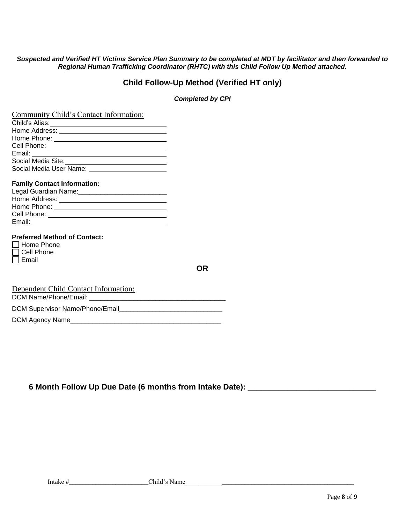#### *Suspected and Verified HT Victims Service Plan Summary to be completed at MDT by facilitator and then forwarded to Regional Human Trafficking Coordinator (RHTC) with this Child Follow Up Method attached.*

## **Child Follow-Up Method (Verified HT only)**

#### *Completed by CPI*

| Community Child's Contact Information:                                                                                                                                                                                               |  |
|--------------------------------------------------------------------------------------------------------------------------------------------------------------------------------------------------------------------------------------|--|
| Child's Alias: <u>Aliance and Alian Alian and Alian Alian Alian Alian and Alian Alian Alian Alian Alian Alian Ali</u>                                                                                                                |  |
| Home Address: National Address and Address and Address and Address and Address and Address and Address and Address and Address and Address and Address and Address and Address and Address and Address and Address and Address       |  |
|                                                                                                                                                                                                                                      |  |
|                                                                                                                                                                                                                                      |  |
|                                                                                                                                                                                                                                      |  |
| Social Media Site:<br><u> Corresponding</u>                                                                                                                                                                                          |  |
| Social Media User Name: _________________________                                                                                                                                                                                    |  |
| <b>Family Contact Information:</b>                                                                                                                                                                                                   |  |
| Legal Guardian Name: _________________________________                                                                                                                                                                               |  |
|                                                                                                                                                                                                                                      |  |
|                                                                                                                                                                                                                                      |  |
| Cell Phone: <u>Call Andrew College and College and College and College and College and College and College and College and College and College and College and College and College and College and College and College and Colle</u> |  |
|                                                                                                                                                                                                                                      |  |
| <b>Preferred Method of Contact:</b><br><b>Home Phone</b><br>l I Cell Phone                                                                                                                                                           |  |
| Email                                                                                                                                                                                                                                |  |
|                                                                                                                                                                                                                                      |  |
| $\sim$ 1 $\sim$ 111 $\sim$ $\sim$ $\sim$ $\sim$ $\sim$                                                                                                                                                                               |  |

Dependent Child Contact Information: DCM Name/Phone/Email: \_\_\_\_\_\_\_\_\_\_\_\_\_\_\_\_\_\_\_\_\_\_\_\_\_\_\_\_\_\_\_\_\_\_\_\_\_ DCM Supervisor Name/Phone/Email**\_\_\_\_\_\_\_\_\_\_\_\_\_\_\_\_\_\_\_\_\_\_\_\_\_\_\_\_** DCM Agency Name\_\_\_\_\_\_\_\_\_\_\_\_\_\_\_\_\_\_\_\_\_\_\_\_\_\_\_\_\_\_\_\_\_\_\_\_\_\_\_\_\_

**6 Month Follow Up Due Date (6 months from Intake Date): \_\_\_\_\_\_\_\_\_\_\_\_\_\_\_\_\_\_\_\_\_\_\_\_\_\_\_\_\_**